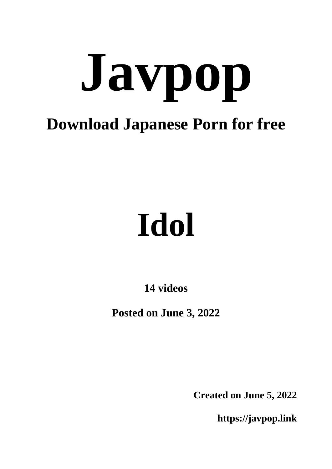

# **[Idol](https://javpop.link/category/idol)**

**14 videos**

**Posted on June 3, 2022**

**Created on June 5, 2022**

**<https://javpop.link>**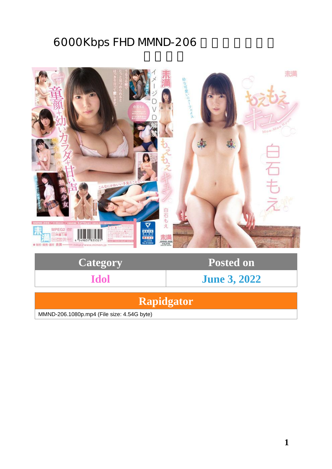### 6000Kbps FHD MMD-206



**[Idol](https://javpop.link/category/idol) [June 3, 2022](https://javpop.link/2022/06/03)**

#### **Rapidgator**

[MMND-206.1080p.mp4](https://rapidgator.net/file/01bf6f5036d1e108e4d0467c3dff141f/MMND-206.1080p.mp4.html) (File size: 4.54G byte)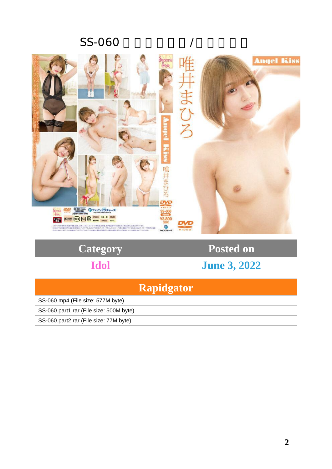#### SS-060 /



**Category Posted on [Idol](https://javpop.link/category/idol) [June 3, 2022](https://javpop.link/2022/06/03)**

# **Rapidgator**

[SS-060.mp4](https://rapidgator.net/file/e0a830305abec757cea32737ffe856c6/SS-060.mp4.html) (File size: 577M byte)

[SS-060.part1.rar](https://rapidgator.net/file/eea30222aa64aa0044723e67f29b24fa/SS-060.part1.rar.html) (File size: 500M byte)

[SS-060.part2.rar](https://rapidgator.net/file/6ab54639ef0f3b918176b92017bf475b/SS-060.part2.rar.html) (File size: 77M byte)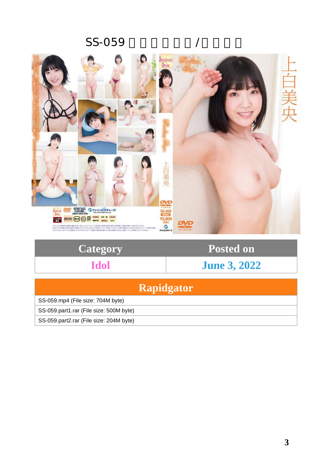#### SS-059 /



**Category Posted on** 

**[Idol](https://javpop.link/category/idol) [June 3, 2022](https://javpop.link/2022/06/03)**

**Rapidgator**

[SS-059.mp4](https://rapidgator.net/file/730ef07777839ea522c926519a1a22e0/SS-059.mp4.html) (File size: 704M byte)

[SS-059.part1.rar](https://rapidgator.net/file/80a46904d17d73cf1981ae354bff056d/SS-059.part1.rar.html) (File size: 500M byte)

[SS-059.part2.rar](https://rapidgator.net/file/7e00bfbc863ca989848b87e8eacd643c/SS-059.part2.rar.html) (File size: 204M byte)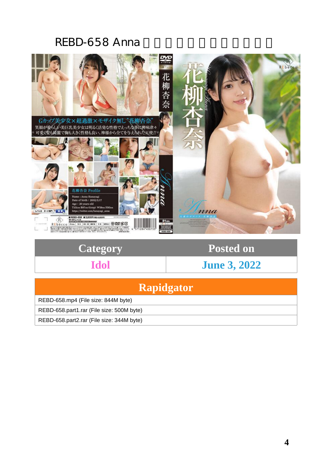#### REBD-658 Anna



**Category Posted on** 

**[Idol](https://javpop.link/category/idol) [June 3, 2022](https://javpop.link/2022/06/03)**

#### **Rapidgator**

[REBD-658.mp4](https://rapidgator.net/file/87a362b60a744724264cb0a27fa26f01/REBD-658.mp4.html) (File size: 844M byte)

[REBD-658.part1.rar](https://rapidgator.net/file/e6c1e4bf928af06226031e6d5a9e34bf/REBD-658.part1.rar.html) (File size: 500M byte)

[REBD-658.part2.rar](https://rapidgator.net/file/f0b263467a4ec4b59609b95228c80061/REBD-658.part2.rar.html) (File size: 344M byte)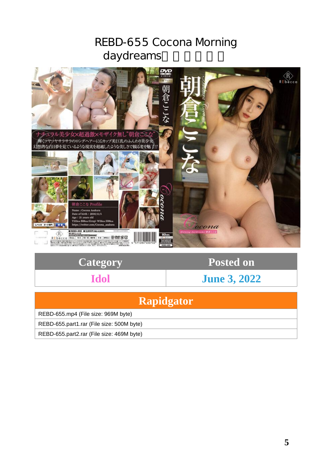### [REBD-655 Cocona Morning](https://javpop.link/rebd-655) daydreams



**Category Posted on** 

**[Idol](https://javpop.link/category/idol) [June 3, 2022](https://javpop.link/2022/06/03)**

| <b>Rapidgator</b>                         |
|-------------------------------------------|
| REBD-655.mp4 (File size: 969M byte)       |
| REBD-655.part1.rar (File size: 500M byte) |
| REBD-655.part2.rar (File size: 469M byte) |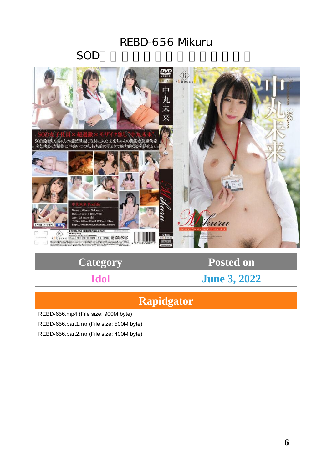#### [REBD-656 Mikuru](https://javpop.link/rebd-656)

SOD



**Category Posted on** 

**[Idol](https://javpop.link/category/idol) [June 3, 2022](https://javpop.link/2022/06/03)**

| <b>Rapidgator</b>                         |
|-------------------------------------------|
| REBD-656.mp4 (File size: 900M byte)       |
| REBD-656.part1.rar (File size: 500M byte) |
|                                           |

[REBD-656.part2.rar](https://rapidgator.net/file/3d1f996e17a68cd4adb687917396c3d7/REBD-656.part2.rar.html) (File size: 400M byte)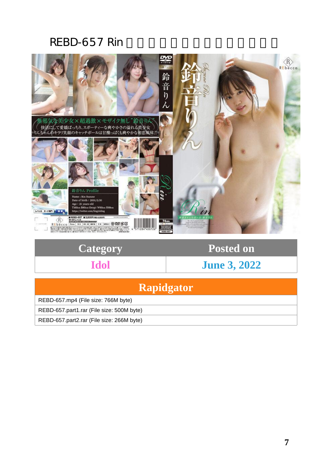#### REBD-657 Rin



**Category Posted on** 

#### **[Idol](https://javpop.link/category/idol) [June 3, 2022](https://javpop.link/2022/06/03)**

#### **Rapidgator**

[REBD-657.mp4](https://rapidgator.net/file/7aa26f2760d43d25fdd25a167da571b9/REBD-657.mp4.html) (File size: 766M byte)

[REBD-657.part1.rar](https://rapidgator.net/file/a4c92616ce9f373e78bf34aab9a07e36/REBD-657.part1.rar.html) (File size: 500M byte)

[REBD-657.part2.rar](https://rapidgator.net/file/b82f912c03ec997294a1f94d3b4af0e8/REBD-657.part2.rar.html) (File size: 266M byte)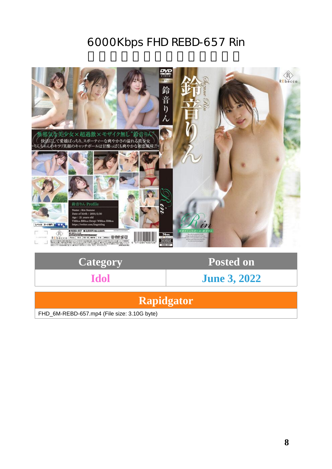### [6000Kbps FHD REBD-657 Rin](https://javpop.link/6000kbps-fhd-rebd-657)



**[Idol](https://javpop.link/category/idol) [June 3, 2022](https://javpop.link/2022/06/03)**

#### **Rapidgator**

[FHD\\_6M-REBD-657.mp4](https://rapidgator.net/file/3766d81c00bb785cbf866fa7060fef0f/FHD_6M-REBD-657.mp4.html) (File size: 3.10G byte)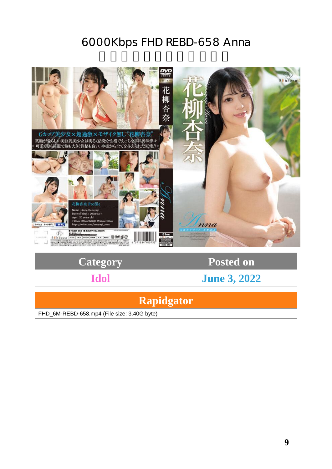### [6000Kbps FHD REBD-658 Anna](https://javpop.link/6000kbps-fhd-rebd-658)



**[Idol](https://javpop.link/category/idol) [June 3, 2022](https://javpop.link/2022/06/03)**

#### **Rapidgator**

[FHD\\_6M-REBD-658.mp4](https://rapidgator.net/file/aa96e865719c9cd5346a530d1dafa1aa/FHD_6M-REBD-658.mp4.html) (File size: 3.40G byte)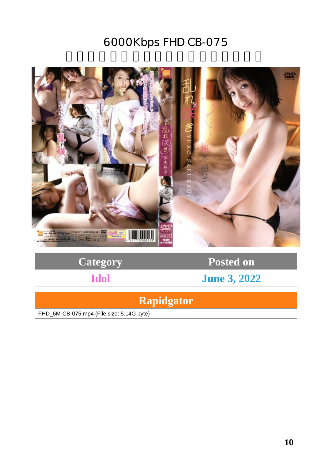### [6000Kbps FHD CB-075](https://javpop.link/6000kbps-fhd-cb-075)



# **Rapidgator**

[FHD\\_6M-CB-075.mp4](https://rapidgator.net/file/b9f8c6ffe80c337cb27e0ddb88c56d4e/FHD_6M-CB-075.mp4.html) (File size: 5.14G byte)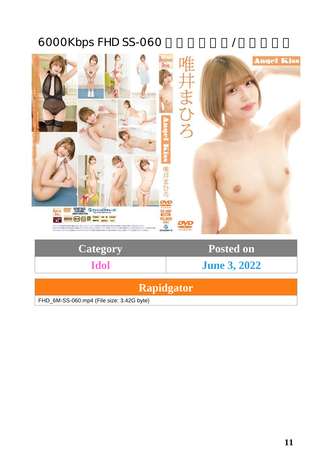# 6000Kbps FHD SS-060 /



**Category Posted on** 

**[Idol](https://javpop.link/category/idol) [June 3, 2022](https://javpop.link/2022/06/03)**

### **Rapidgator**

[FHD\\_6M-SS-060.mp4](https://rapidgator.net/file/d3f1f7268d5565ec732a4267902b6759/FHD_6M-SS-060.mp4.html) (File size: 3.42G byte)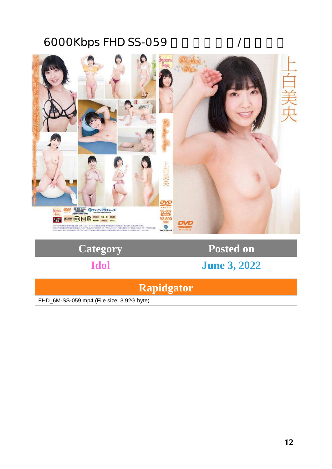# 6000Kbps FHD SS-059 /



**Category Posted on** 

**[Idol](https://javpop.link/category/idol) [June 3, 2022](https://javpop.link/2022/06/03)**

### **Rapidgator**

[FHD\\_6M-SS-059.mp4](https://rapidgator.net/file/e789bcf3ea333fd29b8a658332232a4f/FHD_6M-SS-059.mp4.html) (File size: 3.92G byte)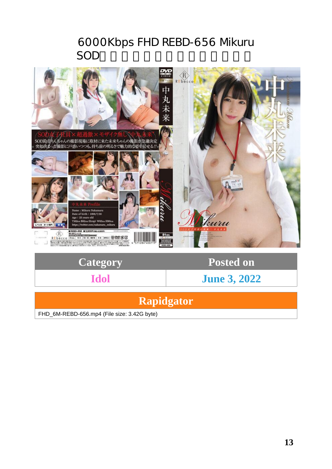#### [6000Kbps FHD REBD-656 Mikuru](https://javpop.link/6000kbps-fhd-rebd-656) SOD



# **Category Posted on**

**[Idol](https://javpop.link/category/idol) [June 3, 2022](https://javpop.link/2022/06/03)**

# **Rapidgator**

[FHD\\_6M-REBD-656.mp4](https://rapidgator.net/file/4869d08bff704533e2a78008bd94edf3/FHD_6M-REBD-656.mp4.html) (File size: 3.42G byte)